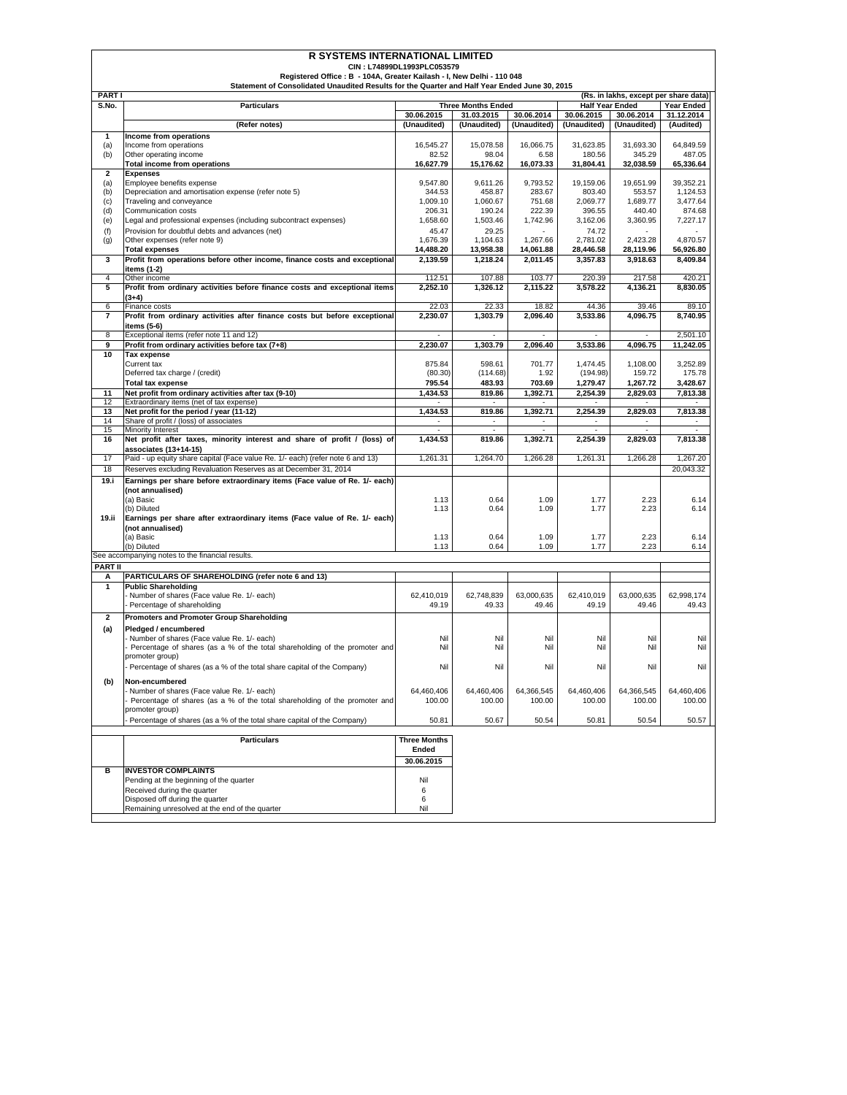|                | <b>R SYSTEMS INTERNATIONAL LIMITED</b>                                                                                                                                  |                            |                           |                          |                          |                                       |                          |
|----------------|-------------------------------------------------------------------------------------------------------------------------------------------------------------------------|----------------------------|---------------------------|--------------------------|--------------------------|---------------------------------------|--------------------------|
|                |                                                                                                                                                                         | CIN: L74899DL1993PLC053579 |                           |                          |                          |                                       |                          |
|                | Registered Office : B - 104A, Greater Kailash - I, New Delhi - 110 048<br>Statement of Consolidated Unaudited Results for the Quarter and Half Year Ended June 30, 2015 |                            |                           |                          |                          |                                       |                          |
| PART I         |                                                                                                                                                                         |                            |                           |                          |                          | (Rs. in lakhs, except per share data) |                          |
| S.No.          | <b>Particulars</b>                                                                                                                                                      |                            | <b>Three Months Ended</b> |                          |                          | <b>Half Year Ended</b>                | Year Ended               |
|                |                                                                                                                                                                         | 30.06.2015                 | 31.03.2015                | 30.06.2014               | 30.06.2015               | 30.06.2014                            | 31.12.2014               |
|                | (Refer notes)                                                                                                                                                           | (Unaudited)                | (Unaudited)               | (Unaudited)              | (Unaudited)              | (Unaudited)                           | (Audited)                |
| 1              | Income from operations                                                                                                                                                  |                            |                           |                          |                          |                                       |                          |
| (a)<br>(b)     | Income from operations<br>Other operating income                                                                                                                        | 16.545.27<br>82.52         | 15,078.58<br>98.04        | 16,066.75<br>6.58        | 31.623.85<br>180.56      | 31,693.30<br>345.29                   | 64.849.59<br>487.05      |
|                | <b>Total income from operations</b>                                                                                                                                     | 16,627.79                  | 15,176.62                 | 16,073.33                | 31,804.41                | 32,038.59                             | 65,336.64                |
| $\mathbf{2}$   | <b>Expenses</b>                                                                                                                                                         |                            |                           |                          |                          |                                       |                          |
| (a)            | Employee benefits expense                                                                                                                                               | 9,547.80                   | 9,611.26                  | 9,793.52                 | 19,159.06                | 19,651.99                             | 39,352.21                |
| (b)            | Depreciation and amortisation expense (refer note 5)                                                                                                                    | 344.53                     | 458.87                    | 283.67                   | 803.40                   | 553.57                                | 1,124.53                 |
| (c)<br>(d)     | Traveling and conveyance                                                                                                                                                | 1,009.10                   | 1,060.67<br>190.24        | 751.68<br>222.39         | 2,069.77                 | 1,689.77                              | 3,477.64                 |
| (e)            | Communication costs<br>Legal and professional expenses (including subcontract expenses)                                                                                 | 206.31<br>1,658.60         | 1,503.46                  | 1,742.96                 | 396.55<br>3,162.06       | 440.40<br>3,360.95                    | 874.68<br>7,227.17       |
| (f)            | Provision for doubtful debts and advances (net)                                                                                                                         | 45.47                      | 29.25                     |                          | 74.72                    |                                       |                          |
| (g)            | Other expenses (refer note 9)                                                                                                                                           | 1,676.39                   | 1.104.63                  | 1,267.66                 | 2,781.02                 | 2,423.28                              | 4,870.57                 |
|                | <b>Total expenses</b>                                                                                                                                                   | 14.488.20                  | 13,958.38                 | 14.061.88                | 28,446.58                | 28,119.96                             | 56,926.80                |
| 3              | Profit from operations before other income, finance costs and exceptional                                                                                               | 2,139.59                   | 1,218.24                  | 2,011.45                 | 3,357.83                 | 3,918.63                              | 8,409.84                 |
|                | items (1-2)                                                                                                                                                             |                            |                           |                          |                          |                                       |                          |
| 4              | Other income                                                                                                                                                            | 112.51                     | 107.88                    | 103.77                   | 220.39                   | 217.58                                | 420.21                   |
| 5              | Profit from ordinary activities before finance costs and exceptional items<br>$(3+4)$                                                                                   | 2,252.10                   | 1,326.12                  | 2,115.22                 | 3,578.22                 | 4,136.21                              | 8,830.05                 |
| 6              | Finance costs                                                                                                                                                           | 22.03                      | 22.33                     | 18.82                    | 44.36                    | 39.46                                 | 89.10                    |
| 7              | Profit from ordinary activities after finance costs but before exceptional                                                                                              | 2,230.07                   | 1,303.79                  | 2,096.40                 | 3,533.86                 | 4,096.75                              | 8,740.95                 |
|                | items (5-6)                                                                                                                                                             |                            |                           |                          |                          |                                       |                          |
| 8              | Exceptional items (refer note 11 and 12)                                                                                                                                |                            |                           |                          | ÷.                       | ÷.                                    | 2,501.10                 |
| 9              | Profit from ordinary activities before tax (7+8)                                                                                                                        | 2.230.07                   | 1,303.79                  | 2.096.40                 | 3,533.86                 | 4,096.75                              | 11,242.05                |
| 10             | <b>Tax expense</b>                                                                                                                                                      |                            |                           |                          |                          |                                       |                          |
|                | Current tax<br>Deferred tax charge / (credit)                                                                                                                           | 875.84<br>(80.30)          | 598.61<br>(114.68)        | 701.77<br>1.92           | 1.474.45<br>(194.98)     | 1,108.00<br>159.72                    | 3,252.89<br>175.78       |
|                | <b>Total tax expense</b>                                                                                                                                                | 795.54                     | 483.93                    | 703.69                   | 1,279.47                 | 1,267.72                              | 3,428.67                 |
| 11             | Net profit from ordinary activities after tax (9-10)                                                                                                                    | 1,434.53                   | 819.86                    | 1,392.71                 | 2,254.39                 | 2,829.03                              | 7,813.38                 |
| 12             | Extraordinary items (net of tax expense)                                                                                                                                |                            | $\overline{\phantom{a}}$  |                          |                          | ٠                                     |                          |
| 13             | Net profit for the period / year (11-12)                                                                                                                                | 1,434.53                   | 819.86                    | 1,392.71                 | 2,254.39                 | 2,829.03                              | 7,813.38                 |
| 14             | Share of profit / (loss) of associates                                                                                                                                  | $\sim$                     | $\overline{\phantom{a}}$  | $\overline{\phantom{a}}$ | $\overline{\phantom{a}}$ | ٠                                     | $\overline{\phantom{a}}$ |
| 15<br>16       | Minority Interest                                                                                                                                                       |                            | ÷.                        |                          |                          |                                       |                          |
|                | Net profit after taxes, minority interest and share of profit / (loss) of<br>associates (13+14-15)                                                                      | 1,434.53                   | 819.86                    | 1,392.71                 | 2,254.39                 | 2,829.03                              | 7,813.38                 |
| 17             | Paid - up equity share capital (Face value Re. 1/- each) (refer note 6 and 13)                                                                                          | 1,261.31                   | 1,264.70                  | 1,266.28                 | 1,261.31                 | 1,266.28                              | 1,267.20                 |
| 18             | Reserves excluding Revaluation Reserves as at December 31, 2014                                                                                                         |                            |                           |                          |                          |                                       | 20,043.32                |
| 19.i           | Earnings per share before extraordinary items (Face value of Re. 1/- each)                                                                                              |                            |                           |                          |                          |                                       |                          |
|                | (not annualised)                                                                                                                                                        |                            |                           |                          |                          |                                       |                          |
|                | (a) Basic                                                                                                                                                               | 1.13                       | 0.64                      | 1.09                     | 1.77                     | 2.23                                  | 6.14                     |
|                | (b) Diluted                                                                                                                                                             | 1.13                       | 0.64                      | 1.09                     | 1.77                     | 2.23                                  | 6.14                     |
| 19.ii          | Earnings per share after extraordinary items (Face value of Re. 1/- each)                                                                                               |                            |                           |                          |                          |                                       |                          |
|                | (not annualised)                                                                                                                                                        |                            |                           |                          |                          |                                       |                          |
|                | (a) Basic<br>(b) Diluted                                                                                                                                                | 1.13<br>1.13               | 0.64<br>0.64              | 1.09<br>1.09             | 1.77<br>1.77             | 2.23<br>2.23                          | 6.14<br>6.14             |
|                | See accompanying notes to the financial results.                                                                                                                        |                            |                           |                          |                          |                                       |                          |
| <b>PART II</b> |                                                                                                                                                                         |                            |                           |                          |                          |                                       |                          |
| А              | PARTICULARS OF SHAREHOLDING (refer note 6 and 13)                                                                                                                       |                            |                           |                          |                          |                                       |                          |
| 1              | <b>Public Shareholding</b>                                                                                                                                              |                            |                           |                          |                          |                                       |                          |
|                | Number of shares (Face value Re. 1/- each)                                                                                                                              | 62,410,019                 | 62,748,839                | 63,000,635               | 62,410,019               | 63,000,635                            | 62,998,174               |
|                | Percentage of shareholding                                                                                                                                              | 49.19                      | 49.33                     | 49.46                    | 49.19                    | 49.46                                 | 49.43                    |
| 2              | Promoters and Promoter Group Shareholding                                                                                                                               |                            |                           |                          |                          |                                       |                          |
| (a)            | Pledged / encumbered                                                                                                                                                    |                            |                           |                          |                          |                                       |                          |
|                | Number of shares (Face value Re. 1/- each)                                                                                                                              | Nil                        | Nil                       | Nil                      | Nil                      | Nil                                   | Nil                      |
|                | Percentage of shares (as a % of the total shareholding of the promoter and<br>promoter group)                                                                           | Nil                        | Nil                       | Nil                      | Nil                      | Nil                                   | Nil                      |
|                | Percentage of shares (as a % of the total share capital of the Company)                                                                                                 | Nil                        | Nil                       | Nil                      | Nil                      | Nil                                   | Nil                      |
|                |                                                                                                                                                                         |                            |                           |                          |                          |                                       |                          |
| (b)            | Non-encumbered                                                                                                                                                          |                            |                           |                          |                          |                                       |                          |
|                | Number of shares (Face value Re. 1/- each)<br>Percentage of shares (as a % of the total shareholding of the promoter and                                                | 64.460.406<br>100.00       | 64,460,406<br>100.00      | 64,366,545<br>100.00     | 64,460,406<br>100.00     | 64,366,545<br>100.00                  | 64,460,406<br>100.00     |
|                | promoter group)                                                                                                                                                         |                            |                           |                          |                          |                                       |                          |
|                | Percentage of shares (as a % of the total share capital of the Company)                                                                                                 | 50.81                      | 50.67                     | 50.54                    | 50.81                    | 50.54                                 | 50.57                    |
|                |                                                                                                                                                                         |                            |                           |                          |                          |                                       |                          |
|                | <b>Particulars</b>                                                                                                                                                      | <b>Three Months</b>        |                           |                          |                          |                                       |                          |
|                |                                                                                                                                                                         | Ended                      |                           |                          |                          |                                       |                          |
|                |                                                                                                                                                                         | 30.06.2015                 |                           |                          |                          |                                       |                          |
| в              | <b>INVESTOR COMPLAINTS</b>                                                                                                                                              |                            |                           |                          |                          |                                       |                          |
|                | Pending at the beginning of the quarter                                                                                                                                 | Nil                        |                           |                          |                          |                                       |                          |
|                | Received during the quarter                                                                                                                                             | 6                          |                           |                          |                          |                                       |                          |
|                | Disposed off during the quarter<br>Remaining unresolved at the end of the quarter                                                                                       | 6<br>Nil                   |                           |                          |                          |                                       |                          |
|                |                                                                                                                                                                         |                            |                           |                          |                          |                                       |                          |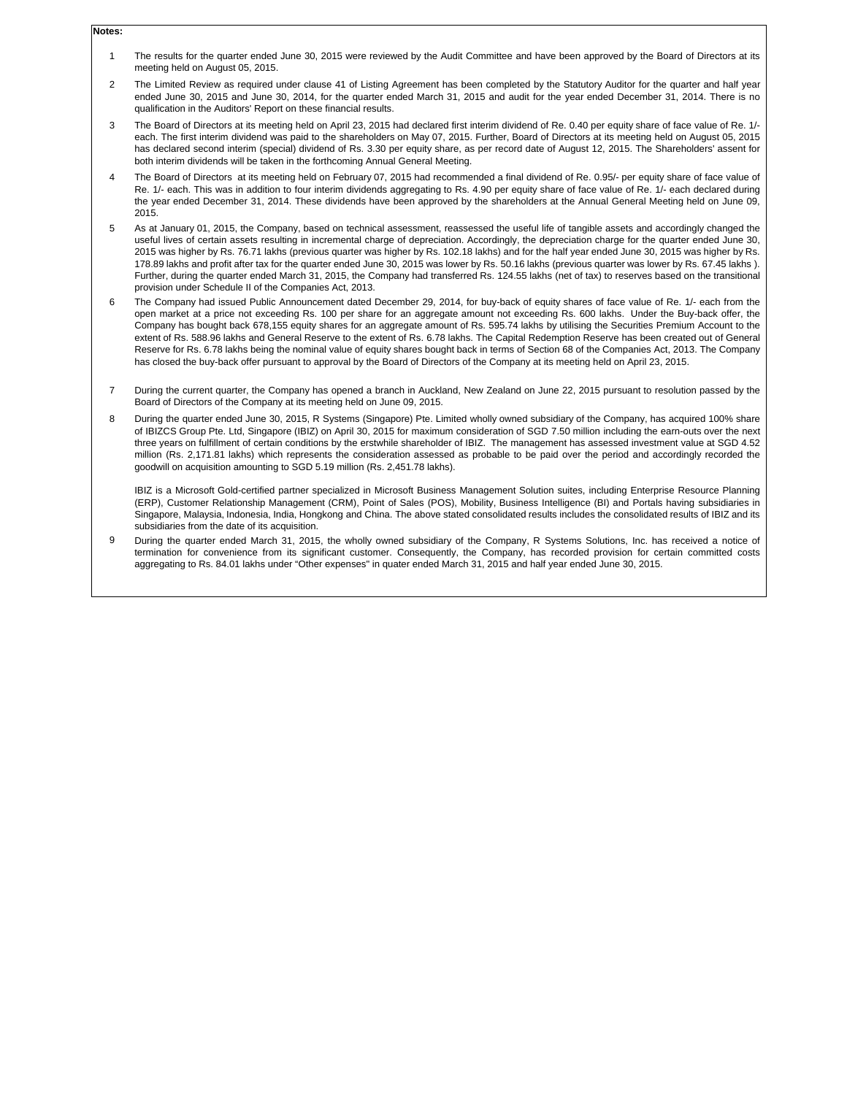#### **Notes:**

- 1 The results for the quarter ended June 30, 2015 were reviewed by the Audit Committee and have been approved by the Board of Directors at its meeting held on August 05, 2015.
- $\overline{2}$ The Limited Review as required under clause 41 of Listing Agreement has been completed by the Statutory Auditor for the quarter and half year ended June 30, 2015 and June 30, 2014, for the quarter ended March 31, 2015 and audit for the year ended December 31, 2014. There is no qualification in the Auditors' Report on these financial results.
- 3 The Board of Directors at its meeting held on April 23, 2015 had declared first interim dividend of Re. 0.40 per equity share of face value of Re. 1/ each. The first interim dividend was paid to the shareholders on May 07, 2015. Further, Board of Directors at its meeting held on August 05, 2015 has declared second interim (special) dividend of Rs. 3.30 per equity share, as per record date of August 12, 2015. The Shareholders' assent for both interim dividends will be taken in the forthcoming Annual General Meeting.
- 4 The Board of Directors at its meeting held on February 07, 2015 had recommended a final dividend of Re. 0.95/- per equity share of face value of Re. 1/- each. This was in addition to four interim dividends aggregating to Rs. 4.90 per equity share of face value of Re. 1/- each declared during the year ended December 31, 2014. These dividends have been approved by the shareholders at the Annual General Meeting held on June 09, 2015.
- 5 As at January 01, 2015, the Company, based on technical assessment, reassessed the useful life of tangible assets and accordingly changed the useful lives of certain assets resulting in incremental charge of depreciation. Accordingly, the depreciation charge for the quarter ended June 30, 2015 was higher by Rs. 76.71 lakhs (previous quarter was higher by Rs. 102.18 lakhs) and for the half year ended June 30, 2015 was higher by Rs. 178.89 lakhs and profit after tax for the quarter ended June 30, 2015 was lower by Rs. 50.16 lakhs (previous quarter was lower by Rs. 67.45 lakhs ). Further, during the quarter ended March 31, 2015, the Company had transferred Rs. 124.55 lakhs (net of tax) to reserves based on the transitional provision under Schedule II of the Companies Act, 2013.
- 6 The Company had issued Public Announcement dated December 29, 2014, for buy-back of equity shares of face value of Re. 1/- each from the open market at a price not exceeding Rs. 100 per share for an aggregate amount not exceeding Rs. 600 lakhs. Under the Buy-back offer, the Company has bought back 678,155 equity shares for an aggregate amount of Rs. 595.74 lakhs by utilising the Securities Premium Account to the extent of Rs. 588.96 lakhs and General Reserve to the extent of Rs. 6.78 lakhs. The Capital Redemption Reserve has been created out of General Reserve for Rs. 6.78 lakhs being the nominal value of equity shares bought back in terms of Section 68 of the Companies Act, 2013. The Company has closed the buy-back offer pursuant to approval by the Board of Directors of the Company at its meeting held on April 23, 2015.
- 7 During the current quarter, the Company has opened a branch in Auckland, New Zealand on June 22, 2015 pursuant to resolution passed by the Board of Directors of the Company at its meeting held on June 09, 2015.
- 8 During the quarter ended June 30, 2015, R Systems (Singapore) Pte. Limited wholly owned subsidiary of the Company, has acquired 100% share of IBIZCS Group Pte. Ltd, Singapore (IBIZ) on April 30, 2015 for maximum consideration of SGD 7.50 million including the earn-outs over the next three years on fulfillment of certain conditions by the erstwhile shareholder of IBIZ. The management has assessed investment value at SGD 4.52 million (Rs. 2,171.81 lakhs) which represents the consideration assessed as probable to be paid over the period and accordingly recorded the goodwill on acquisition amounting to SGD 5.19 million (Rs. 2,451.78 lakhs).

IBIZ is a Microsoft Gold-certified partner specialized in Microsoft Business Management Solution suites, including Enterprise Resource Planning (ERP), Customer Relationship Management (CRM), Point of Sales (POS), Mobility, Business Intelligence (BI) and Portals having subsidiaries in Singapore, Malaysia, Indonesia, India, Hongkong and China. The above stated consolidated results includes the consolidated results of IBIZ and its subsidiaries from the date of its acquisition.

9 During the quarter ended March 31, 2015, the wholly owned subsidiary of the Company, R Systems Solutions, Inc. has received a notice of termination for convenience from its significant customer. Consequently, the Company, has recorded provision for certain committed costs aggregating to Rs. 84.01 lakhs under "Other expenses" in quater ended March 31, 2015 and half year ended June 30, 2015.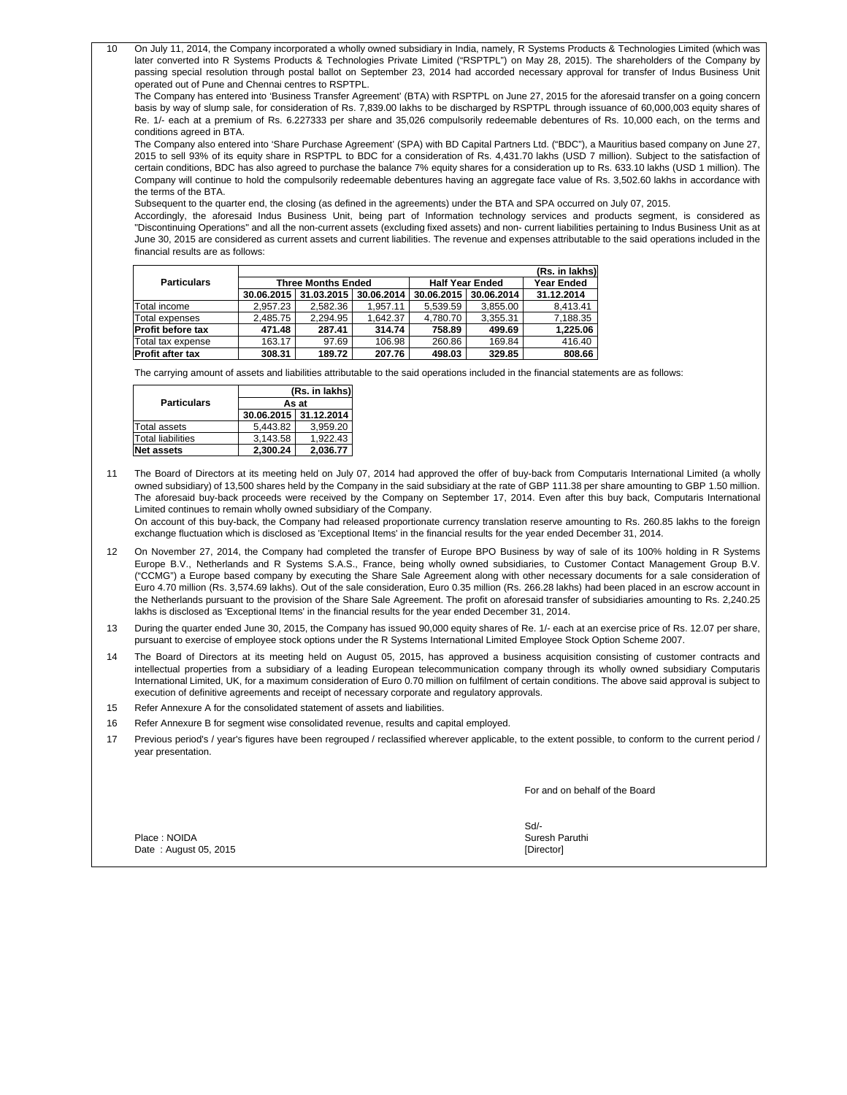10 On July 11, 2014, the Company incorporated a wholly owned subsidiary in India, namely, R Systems Products & Technologies Limited (which was later converted into R Systems Products & Technologies Private Limited ("RSPTPL") on May 28, 2015). The shareholders of the Company by passing special resolution through postal ballot on September 23, 2014 had accorded necessary approval for transfer of Indus Business Unit operated out of Pune and Chennai centres to RSPTPL.

The Company has entered into 'Business Transfer Agreement' (BTA) with RSPTPL on June 27, 2015 for the aforesaid transfer on a going concern basis by way of slump sale, for consideration of Rs. 7,839.00 lakhs to be discharged by RSPTPL through issuance of 60,000,003 equity shares of Re. 1/- each at a premium of Rs. 6.227333 per share and 35,026 compulsorily redeemable debentures of Rs. 10,000 each, on the terms and conditions agreed in BTA.

The Company also entered into 'Share Purchase Agreement' (SPA) with BD Capital Partners Ltd. ("BDC"), a Mauritius based company on June 27, 2015 to sell 93% of its equity share in RSPTPL to BDC for a consideration of Rs. 4,431.70 lakhs (USD 7 million). Subject to the satisfaction of certain conditions, BDC has also agreed to purchase the balance 7% equity shares for a consideration up to Rs. 633.10 lakhs (USD 1 million). The Company will continue to hold the compulsorily redeemable debentures having an aggregate face value of Rs. 3,502.60 lakhs in accordance with the terms of the BTA.

Subsequent to the quarter end, the closing (as defined in the agreements) under the BTA and SPA occurred on July 07, 2015.

Accordingly, the aforesaid Indus Business Unit, being part of Information technology services and products segment, is considered as "Discontinuing Operations" and all the non-current assets (excluding fixed assets) and non- current liabilities pertaining to Indus Business Unit as at June 30, 2015 are considered as current assets and current liabilities. The revenue and expenses attributable to the said operations included in the financial results are as follows:

|                          | (Rs. in lakhs) |                           |            |                        |                   |            |
|--------------------------|----------------|---------------------------|------------|------------------------|-------------------|------------|
| <b>Particulars</b>       |                | <b>Three Months Ended</b> |            | <b>Half Year Ended</b> | <b>Year Ended</b> |            |
|                          | 30.06.2015     | 31.03.2015                | 30.06.2014 | 30.06.2015             | 30.06.2014        | 31.12.2014 |
| Total income             | 2.957.23       | 2.582.36                  | 1.957.11   | 5.539.59               | 3,855.00          | 8.413.41   |
| <b>Total expenses</b>    | 2.485.75       | 2.294.95                  | 1.642.37   | 4.780.70               | 3.355.31          | 7,188.35   |
| <b>Profit before tax</b> | 471.48         | 287.41                    | 314.74     | 758.89                 | 499.69            | 1,225.06   |
| Total tax expense        | 163.17         | 97.69                     | 106.98     | 260.86                 | 169.84            | 416.40     |
| <b>Profit after tax</b>  | 308.31         | 189.72                    | 207.76     | 498.03                 | 329.85            | 808.66     |

The carrying amount of assets and liabilities attributable to the said operations included in the financial statements are as follows:

|                          |                       | (Rs. in lakhs) |  |  |  |
|--------------------------|-----------------------|----------------|--|--|--|
| <b>Particulars</b>       | As at                 |                |  |  |  |
|                          | 30.06.2015 31.12.2014 |                |  |  |  |
| <b>Total assets</b>      | 5.443.82              | 3.959.20       |  |  |  |
| <b>Total liabilities</b> | 3.143.58              | 1.922.43       |  |  |  |
| <b>Net assets</b>        | 2.300.24              | 2.036.77       |  |  |  |

11 The Board of Directors at its meeting held on July 07, 2014 had approved the offer of buy-back from Computaris International Limited (a wholly owned subsidiary) of 13,500 shares held by the Company in the said subsidiary at the rate of GBP 111.38 per share amounting to GBP 1.50 million. The aforesaid buy-back proceeds were received by the Company on September 17, 2014. Even after this buy back, Computaris International Limited continues to remain wholly owned subsidiary of the Company.

On account of this buy-back, the Company had released proportionate currency translation reserve amounting to Rs. 260.85 lakhs to the foreign exchange fluctuation which is disclosed as 'Exceptional Items' in the financial results for the year ended December 31, 2014.

- 12 On November 27, 2014, the Company had completed the transfer of Europe BPO Business by way of sale of its 100% holding in R Systems Europe B.V., Netherlands and R Systems S.A.S., France, being wholly owned subsidiaries, to Customer Contact Management Group B.V. ("CCMG") a Europe based company by executing the Share Sale Agreement along with other necessary documents for a sale consideration of Euro 4.70 million (Rs. 3,574.69 lakhs). Out of the sale consideration, Euro 0.35 million (Rs. 266.28 lakhs) had been placed in an escrow account in the Netherlands pursuant to the provision of the Share Sale Agreement. The profit on aforesaid transfer of subsidiaries amounting to Rs. 2,240.25 lakhs is disclosed as 'Exceptional Items' in the financial results for the year ended December 31, 2014.
- 13 During the quarter ended June 30, 2015, the Company has issued 90,000 equity shares of Re. 1/- each at an exercise price of Rs. 12.07 per share, pursuant to exercise of employee stock options under the R Systems International Limited Employee Stock Option Scheme 2007.
- 14 The Board of Directors at its meeting held on August 05, 2015, has approved a business acquisition consisting of customer contracts and intellectual properties from a subsidiary of a leading European telecommunication company through its wholly owned subsidiary Computaris International Limited, UK, for a maximum consideration of Euro 0.70 million on fulfilment of certain conditions. The above said approval is subject to execution of definitive agreements and receipt of necessary corporate and regulatory approvals.
- 15 Refer Annexure A for the consolidated statement of assets and liabilities.
- 16 Refer Annexure B for segment wise consolidated revenue, results and capital employed.
- 17 Previous period's / year's figures have been regrouped / reclassified wherever applicable, to the extent possible, to conform to the current period / year presentation.

For and on behalf of the Board

Place : NOIDA Date : August 05, 2015

Sd/- Suresh Paruthi [Director]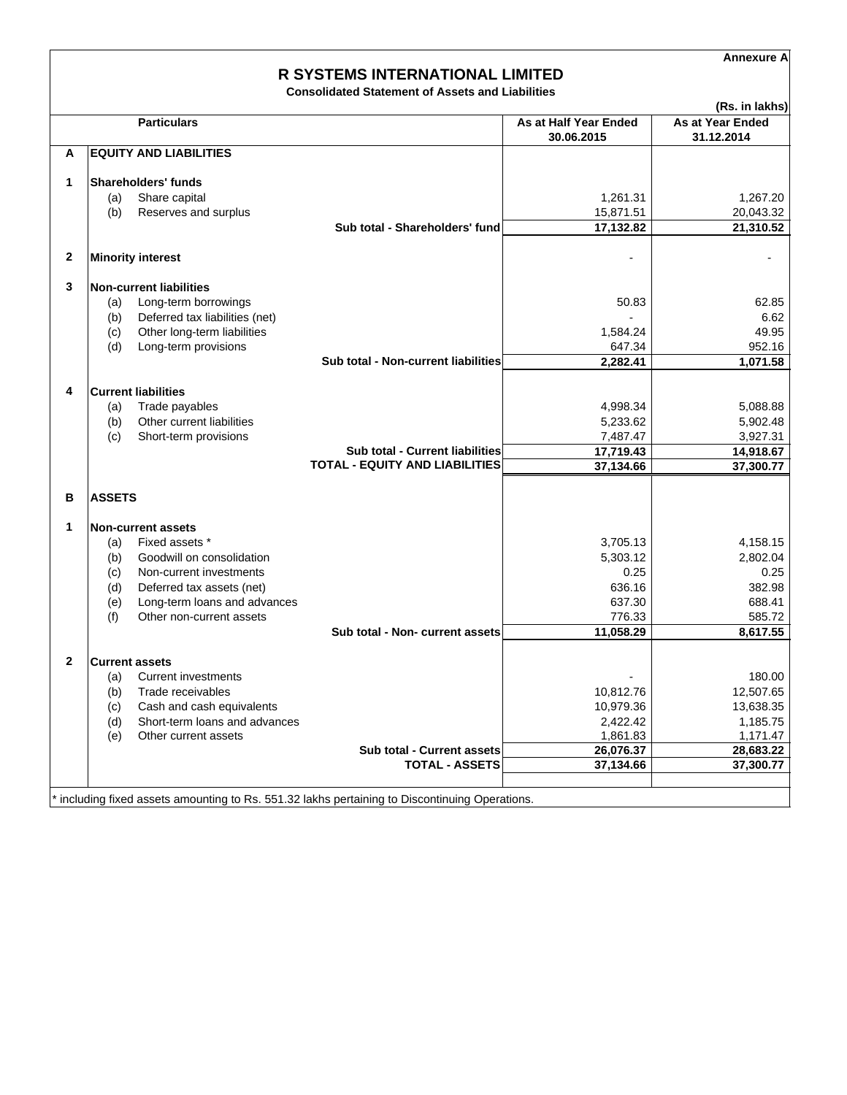**Annexure A**

# **R SYSTEMS INTERNATIONAL LIMITED**

**Consolidated Statement of Assets and Liabilities**

| 30.06.2015<br><b>EQUITY AND LIABILITIES</b><br>A<br>1<br><b>Shareholders' funds</b><br>Share capital<br>(a)<br>(b)<br>Reserves and surplus<br>15,871.51<br>17,132.82<br>Sub total - Shareholders' fund<br>$\mathbf{2}$<br><b>Minority interest</b><br>3<br><b>Non-current liabilities</b><br>Long-term borrowings<br>(a)<br>Deferred tax liabilities (net)<br>(b)<br>(c)<br>Other long-term liabilities<br>Long-term provisions<br>(d)<br>Sub total - Non-current liabilities<br>4<br><b>Current liabilities</b><br>Trade payables<br>(a)<br>Other current liabilities<br>(b)<br>Short-term provisions<br>(c)<br>17,719.43<br><b>Sub total - Current liabilities</b><br><b>TOTAL - EQUITY AND LIABILITIES</b><br>37,134.66<br>B<br><b>ASSETS</b><br>1<br><b>Non-current assets</b><br>Fixed assets *<br>(a) | 31.12.2014<br>1,261.31<br>1,267.20<br>20,043.32<br>21,310.52<br>62.85<br>50.83<br>6.62<br>49.95<br>1,584.24<br>647.34<br>952.16<br>2,282.41<br>1,071.58<br>4,998.34<br>5,088.88 |
|-------------------------------------------------------------------------------------------------------------------------------------------------------------------------------------------------------------------------------------------------------------------------------------------------------------------------------------------------------------------------------------------------------------------------------------------------------------------------------------------------------------------------------------------------------------------------------------------------------------------------------------------------------------------------------------------------------------------------------------------------------------------------------------------------------------|---------------------------------------------------------------------------------------------------------------------------------------------------------------------------------|
|                                                                                                                                                                                                                                                                                                                                                                                                                                                                                                                                                                                                                                                                                                                                                                                                             |                                                                                                                                                                                 |
|                                                                                                                                                                                                                                                                                                                                                                                                                                                                                                                                                                                                                                                                                                                                                                                                             |                                                                                                                                                                                 |
|                                                                                                                                                                                                                                                                                                                                                                                                                                                                                                                                                                                                                                                                                                                                                                                                             |                                                                                                                                                                                 |
|                                                                                                                                                                                                                                                                                                                                                                                                                                                                                                                                                                                                                                                                                                                                                                                                             |                                                                                                                                                                                 |
|                                                                                                                                                                                                                                                                                                                                                                                                                                                                                                                                                                                                                                                                                                                                                                                                             |                                                                                                                                                                                 |
|                                                                                                                                                                                                                                                                                                                                                                                                                                                                                                                                                                                                                                                                                                                                                                                                             |                                                                                                                                                                                 |
|                                                                                                                                                                                                                                                                                                                                                                                                                                                                                                                                                                                                                                                                                                                                                                                                             |                                                                                                                                                                                 |
|                                                                                                                                                                                                                                                                                                                                                                                                                                                                                                                                                                                                                                                                                                                                                                                                             |                                                                                                                                                                                 |
|                                                                                                                                                                                                                                                                                                                                                                                                                                                                                                                                                                                                                                                                                                                                                                                                             |                                                                                                                                                                                 |
|                                                                                                                                                                                                                                                                                                                                                                                                                                                                                                                                                                                                                                                                                                                                                                                                             |                                                                                                                                                                                 |
|                                                                                                                                                                                                                                                                                                                                                                                                                                                                                                                                                                                                                                                                                                                                                                                                             |                                                                                                                                                                                 |
|                                                                                                                                                                                                                                                                                                                                                                                                                                                                                                                                                                                                                                                                                                                                                                                                             |                                                                                                                                                                                 |
|                                                                                                                                                                                                                                                                                                                                                                                                                                                                                                                                                                                                                                                                                                                                                                                                             |                                                                                                                                                                                 |
|                                                                                                                                                                                                                                                                                                                                                                                                                                                                                                                                                                                                                                                                                                                                                                                                             |                                                                                                                                                                                 |
|                                                                                                                                                                                                                                                                                                                                                                                                                                                                                                                                                                                                                                                                                                                                                                                                             |                                                                                                                                                                                 |
|                                                                                                                                                                                                                                                                                                                                                                                                                                                                                                                                                                                                                                                                                                                                                                                                             | 5,233.62<br>5,902.48                                                                                                                                                            |
|                                                                                                                                                                                                                                                                                                                                                                                                                                                                                                                                                                                                                                                                                                                                                                                                             | 7,487.47<br>3,927.31                                                                                                                                                            |
|                                                                                                                                                                                                                                                                                                                                                                                                                                                                                                                                                                                                                                                                                                                                                                                                             | 14,918.67<br>37,300.77                                                                                                                                                          |
|                                                                                                                                                                                                                                                                                                                                                                                                                                                                                                                                                                                                                                                                                                                                                                                                             |                                                                                                                                                                                 |
|                                                                                                                                                                                                                                                                                                                                                                                                                                                                                                                                                                                                                                                                                                                                                                                                             |                                                                                                                                                                                 |
|                                                                                                                                                                                                                                                                                                                                                                                                                                                                                                                                                                                                                                                                                                                                                                                                             |                                                                                                                                                                                 |
|                                                                                                                                                                                                                                                                                                                                                                                                                                                                                                                                                                                                                                                                                                                                                                                                             | 3,705.13<br>4,158.15                                                                                                                                                            |
| Goodwill on consolidation<br>(b)                                                                                                                                                                                                                                                                                                                                                                                                                                                                                                                                                                                                                                                                                                                                                                            | 5,303.12<br>2,802.04                                                                                                                                                            |
| Non-current investments<br>(c)                                                                                                                                                                                                                                                                                                                                                                                                                                                                                                                                                                                                                                                                                                                                                                              | 0.25<br>0.25                                                                                                                                                                    |
| (d)<br>Deferred tax assets (net)                                                                                                                                                                                                                                                                                                                                                                                                                                                                                                                                                                                                                                                                                                                                                                            | 636.16<br>382.98                                                                                                                                                                |
| Long-term loans and advances<br>(e)<br>(f)<br>Other non-current assets                                                                                                                                                                                                                                                                                                                                                                                                                                                                                                                                                                                                                                                                                                                                      | 637.30<br>688.41<br>776.33<br>585.72                                                                                                                                            |
| 11,058.29<br>Sub total - Non- current assets                                                                                                                                                                                                                                                                                                                                                                                                                                                                                                                                                                                                                                                                                                                                                                | 8,617.55                                                                                                                                                                        |
|                                                                                                                                                                                                                                                                                                                                                                                                                                                                                                                                                                                                                                                                                                                                                                                                             |                                                                                                                                                                                 |
| $\overline{2}$<br><b>Current assets</b>                                                                                                                                                                                                                                                                                                                                                                                                                                                                                                                                                                                                                                                                                                                                                                     |                                                                                                                                                                                 |
| <b>Current investments</b><br>(a)                                                                                                                                                                                                                                                                                                                                                                                                                                                                                                                                                                                                                                                                                                                                                                           | 180.00                                                                                                                                                                          |
| Trade receivables<br>10,812.76<br>(b)                                                                                                                                                                                                                                                                                                                                                                                                                                                                                                                                                                                                                                                                                                                                                                       | 12,507.65                                                                                                                                                                       |
| Cash and cash equivalents<br>10,979.36<br>(c)                                                                                                                                                                                                                                                                                                                                                                                                                                                                                                                                                                                                                                                                                                                                                               | 13,638.35                                                                                                                                                                       |
| Short-term loans and advances<br>(d)<br>(e)<br>Other current assets                                                                                                                                                                                                                                                                                                                                                                                                                                                                                                                                                                                                                                                                                                                                         | 2,422.42<br>1,185.75<br>1,861.83<br>1,171.47                                                                                                                                    |
| Sub total - Current assets<br>26,076.37                                                                                                                                                                                                                                                                                                                                                                                                                                                                                                                                                                                                                                                                                                                                                                     | 28,683.22                                                                                                                                                                       |
| <b>TOTAL - ASSETS</b><br>37,134.66                                                                                                                                                                                                                                                                                                                                                                                                                                                                                                                                                                                                                                                                                                                                                                          | 37,300.77                                                                                                                                                                       |
|                                                                                                                                                                                                                                                                                                                                                                                                                                                                                                                                                                                                                                                                                                                                                                                                             |                                                                                                                                                                                 |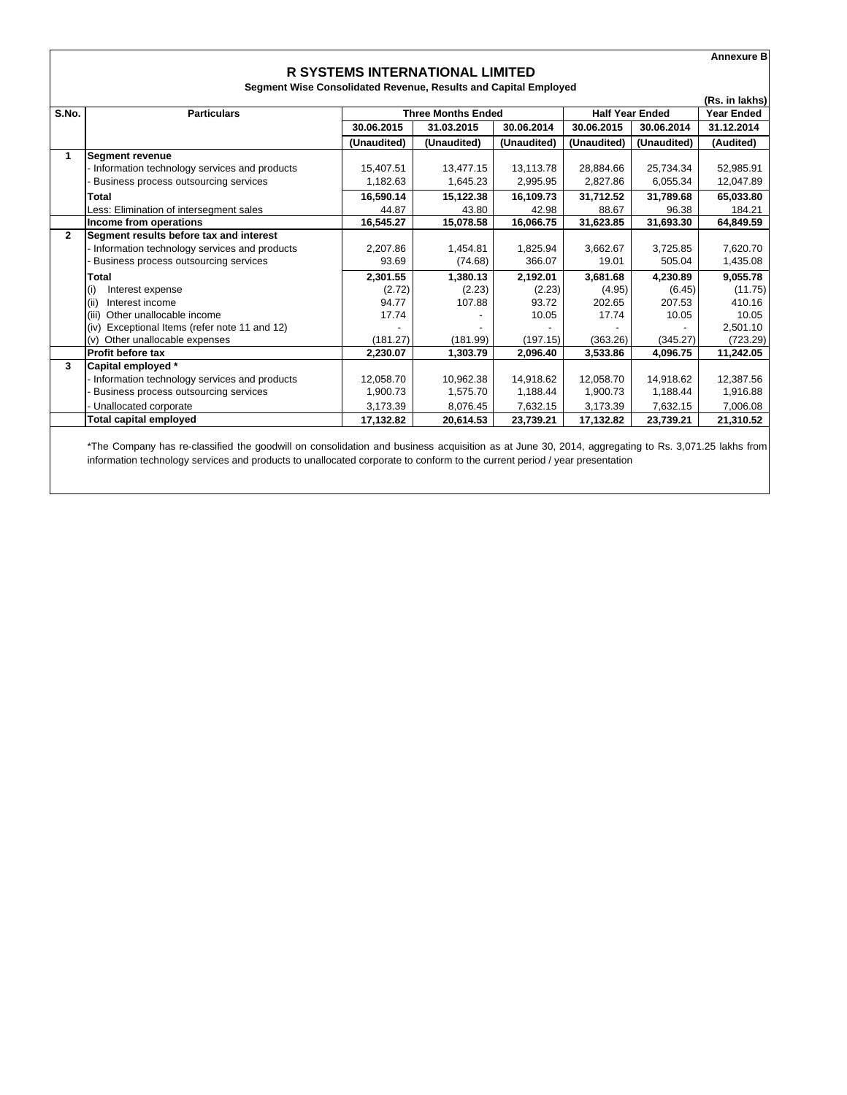|              |                                                  |                                                                 |                           |             |             |                        | <b>Annexure B</b> |
|--------------|--------------------------------------------------|-----------------------------------------------------------------|---------------------------|-------------|-------------|------------------------|-------------------|
|              |                                                  | <b>R SYSTEMS INTERNATIONAL LIMITED</b>                          |                           |             |             |                        |                   |
|              |                                                  | Segment Wise Consolidated Revenue, Results and Capital Employed |                           |             |             |                        |                   |
|              |                                                  |                                                                 |                           |             |             |                        | (Rs. in lakhs)    |
| S.No.        | <b>Particulars</b>                               |                                                                 | <b>Three Months Ended</b> |             |             | <b>Half Year Ended</b> | <b>Year Ended</b> |
|              |                                                  | 30.06.2015                                                      | 31.03.2015                | 30.06.2014  | 30.06.2015  | 30.06.2014             | 31.12.2014        |
|              |                                                  | (Unaudited)                                                     | (Unaudited)               | (Unaudited) | (Unaudited) | (Unaudited)            | (Audited)         |
| 1.           | <b>Segment revenue</b>                           |                                                                 |                           |             |             |                        |                   |
|              | Information technology services and products     | 15,407.51                                                       | 13,477.15                 | 13,113.78   | 28,884.66   | 25,734.34              | 52,985.91         |
|              | Business process outsourcing services            | 1,182.63                                                        | 1,645.23                  | 2,995.95    | 2,827.86    | 6,055.34               | 12,047.89         |
|              | Total                                            | 16,590.14                                                       | 15,122.38                 | 16,109.73   | 31,712.52   | 31,789.68              | 65,033.80         |
|              | Less: Elimination of intersegment sales          | 44.87                                                           | 43.80                     | 42.98       | 88.67       | 96.38                  | 184.21            |
|              | Income from operations                           | 16.545.27                                                       | 15,078.58                 | 16,066.75   | 31,623.85   | 31,693.30              | 64,849.59         |
| $\mathbf{2}$ | Segment results before tax and interest          |                                                                 |                           |             |             |                        |                   |
|              | Information technology services and products     | 2,207.86                                                        | 1,454.81                  | 1,825.94    | 3,662.67    | 3,725.85               | 7,620.70          |
|              | Business process outsourcing services            | 93.69                                                           | (74.68)                   | 366.07      | 19.01       | 505.04                 | 1,435.08          |
|              | Total                                            | 2,301.55                                                        | 1,380.13                  | 2,192.01    | 3,681.68    | 4,230.89               | 9,055.78          |
|              | (i)<br>Interest expense                          | (2.72)                                                          | (2.23)                    | (2.23)      | (4.95)      | (6.45)                 | (11.75)           |
|              | (iii)<br>Interest income                         | 94.77                                                           | 107.88                    | 93.72       | 202.65      | 207.53                 | 410.16            |
|              | (iii)<br>Other unallocable income                | 17.74                                                           |                           | 10.05       | 17.74       | 10.05                  | 10.05             |
|              | Exceptional Items (refer note 11 and 12)<br>(iv) |                                                                 |                           |             |             |                        | 2,501.10          |
|              | Other unallocable expenses<br>(v)                | (181.27)                                                        | (181.99)                  | (197.15)    | (363.26)    | (345.27)               | (723.29)          |
|              | <b>Profit before tax</b>                         | 2,230.07                                                        | 1,303.79                  | 2,096.40    | 3,533.86    | 4,096.75               | 11,242.05         |
| 3            | Capital employed *                               |                                                                 |                           |             |             |                        |                   |
|              | Information technology services and products     | 12,058.70                                                       | 10,962.38                 | 14.918.62   | 12,058.70   | 14,918.62              | 12,387.56         |
|              | Business process outsourcing services            | 1,900.73                                                        | 1,575.70                  | 1,188.44    | 1,900.73    | 1,188.44               | 1,916.88          |
|              | Unallocated corporate                            | 3.173.39                                                        | 8,076.45                  | 7,632.15    | 3,173.39    | 7,632.15               | 7,006.08          |
|              | <b>Total capital employed</b>                    | 17,132.82                                                       | 20,614.53                 | 23,739.21   | 17,132.82   | 23,739.21              | 21,310.52         |

\*The Company has re-classified the goodwill on consolidation and business acquisition as at June 30, 2014, aggregating to Rs. 3,071.25 lakhs from information technology services and products to unallocated corporate to conform to the current period / year presentation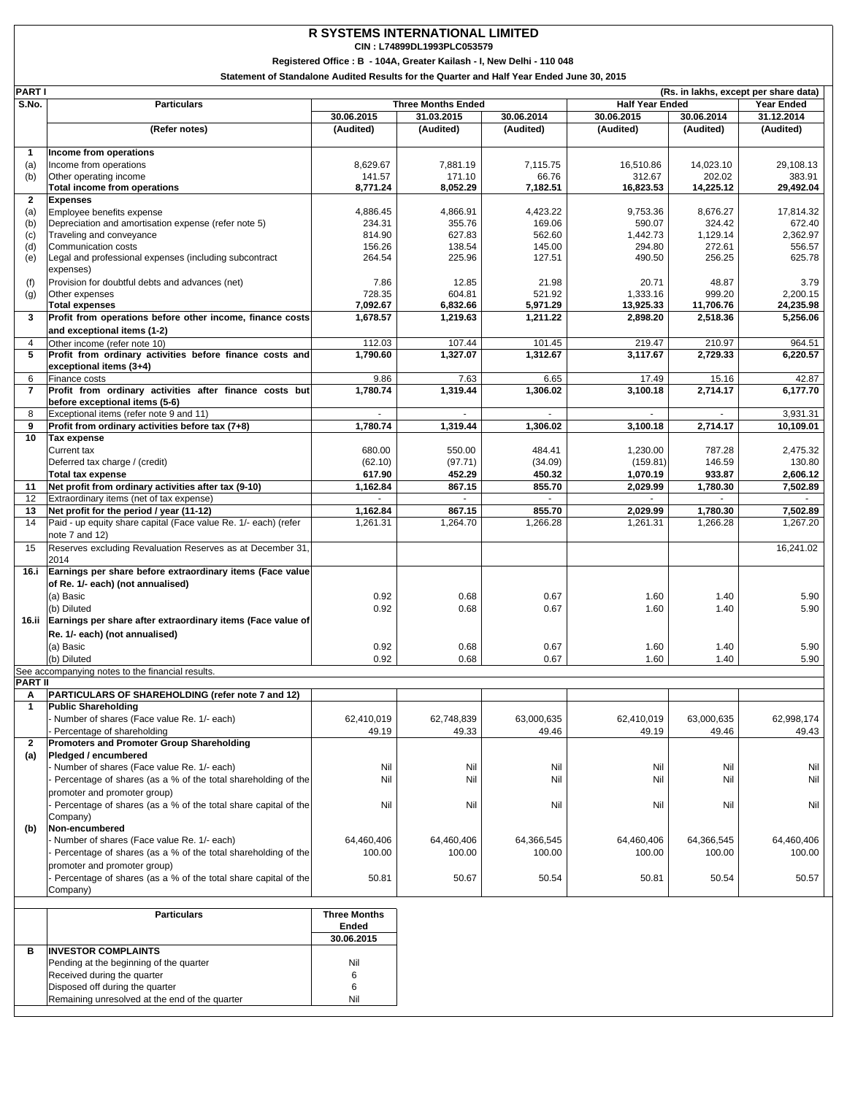### **R SYSTEMS INTERNATIONAL LIMITED**

**CIN : L74899DL1993PLC053579**

**Registered Office : B - 104A, Greater Kailash - I, New Delhi - 110 048**

**Statement of Standalone Audited Results for the Quarter and Half Year Ended June 30, 2015**

| <b>PART I</b>       | (Rs. in lakhs, except per share data)                                              |                  |                           |                  |                        |                   |                      |
|---------------------|------------------------------------------------------------------------------------|------------------|---------------------------|------------------|------------------------|-------------------|----------------------|
| S.No.               | <b>Particulars</b>                                                                 |                  | <b>Three Months Ended</b> |                  | <b>Half Year Ended</b> |                   | <b>Year Ended</b>    |
|                     |                                                                                    | 30.06.2015       | 31.03.2015                | 30.06.2014       | 30.06.2015             | 30.06.2014        | 31.12.2014           |
|                     | (Refer notes)                                                                      | (Audited)        | (Audited)                 | (Audited)        | (Audited)              | (Audited)         | (Audited)            |
|                     |                                                                                    |                  |                           |                  |                        |                   |                      |
| 1                   | Income from operations                                                             |                  |                           |                  |                        |                   |                      |
| (a)                 | Income from operations                                                             | 8,629.67         | 7,881.19                  | 7,115.75         | 16,510.86              | 14,023.10         | 29,108.13            |
| (b)                 | Other operating income                                                             | 141.57           | 171.10                    | 66.76            | 312.67                 | 202.02            | 383.91               |
|                     | Total income from operations                                                       | 8,771.24         | 8,052.29                  | 7,182.51         | 16,823.53              | 14,225.12         | 29,492.04            |
| $\overline{2}$      | <b>Expenses</b>                                                                    |                  |                           |                  |                        |                   |                      |
| (a)                 | Employee benefits expense                                                          | 4,886.45         | 4,866.91                  | 4,423.22         | 9,753.36               | 8,676.27          | 17,814.32            |
| (b)                 | Depreciation and amortisation expense (refer note 5)                               | 234.31           | 355.76                    | 169.06           | 590.07                 | 324.42            | 672.40               |
| (c)                 | Traveling and conveyance                                                           | 814.90           | 627.83                    | 562.60           | 1,442.73               | 1,129.14          | 2.362.97             |
| (d)                 | Communication costs<br>Legal and professional expenses (including subcontract      | 156.26<br>264.54 | 138.54<br>225.96          | 145.00<br>127.51 | 294.80<br>490.50       | 272.61<br>256.25  | 556.57<br>625.78     |
| (e)                 | expenses)                                                                          |                  |                           |                  |                        |                   |                      |
|                     |                                                                                    | 7.86             |                           | 21.98            | 20.71                  |                   | 3.79                 |
| (f)                 | Provision for doubtful debts and advances (net)                                    | 728.35           | 12.85<br>604.81           | 521.92           | 1,333.16               | 48.87<br>999.20   | 2,200.15             |
| (g)                 | Other expenses                                                                     | 7,092.67         | 6,832.66                  | 5,971.29         | 13,925.33              | 11,706.76         | 24,235.98            |
| 3                   | <b>Total expenses</b><br>Profit from operations before other income, finance costs | 1,678.57         | 1,219.63                  | 1,211.22         | 2,898.20               | 2,518.36          | 5,256.06             |
|                     |                                                                                    |                  |                           |                  |                        |                   |                      |
|                     | and exceptional items (1-2)                                                        |                  |                           |                  |                        |                   |                      |
| 4                   | Other income (refer note 10)                                                       | 112.03           | 107.44                    | 101.45           | 219.47                 | 210.97            | 964.51               |
| 5                   | Profit from ordinary activities before finance costs and                           | 1,790.60         | 1,327.07                  | 1,312.67         | 3,117.67               | 2,729.33          | 6,220.57             |
|                     | exceptional items (3+4)                                                            |                  |                           |                  |                        |                   |                      |
| 6<br>$\overline{7}$ | Finance costs<br>Profit from ordinary activities after finance costs but           | 9.86<br>1,780.74 | 7.63<br>1,319.44          | 6.65             | 17.49                  | 15.16<br>2,714.17 | 42.87                |
|                     | before exceptional items (5-6)                                                     |                  |                           | 1,306.02         | 3,100.18               |                   | 6,177.70             |
| 8                   | Exceptional items (refer note 9 and 11)                                            |                  |                           |                  |                        |                   | 3,931.31             |
| 9                   | Profit from ordinary activities before tax (7+8)                                   | 1,780.74         | 1,319.44                  | 1,306.02         | 3,100.18               | 2,714.17          | 10,109.01            |
| 10                  |                                                                                    |                  |                           |                  |                        |                   |                      |
|                     | Tax expense<br>Current tax                                                         | 680.00           |                           | 484.41           |                        | 787.28            |                      |
|                     | Deferred tax charge / (credit)                                                     |                  | 550.00                    |                  | 1,230.00               |                   | 2,475.32             |
|                     |                                                                                    | (62.10)          | (97.71)                   | (34.09)          | (159.81)               | 146.59            | 130.80               |
|                     | <b>Total tax expense</b>                                                           | 617.90           | 452.29                    | 450.32           | 1,070.19               | 933.87            | 2,606.12             |
| 11<br>12            | Net profit from ordinary activities after tax (9-10)                               | 1,162.84         | 867.15<br>$\omega$        | 855.70           | 2,029.99               | 1,780.30          | 7,502.89             |
|                     | Extraordinary items (net of tax expense)                                           |                  |                           |                  |                        |                   |                      |
| 13<br>14            | Net profit for the period / year (11-12)                                           | 1,162.84         | 867.15                    | 855.70           | 2,029.99<br>1,261.31   | 1,780.30          | 7,502.89<br>1,267.20 |
|                     | Paid - up equity share capital (Face value Re. 1/- each) (refer                    | 1,261.31         | 1,264.70                  | 1,266.28         |                        | 1,266.28          |                      |
|                     | note 7 and 12)                                                                     |                  |                           |                  |                        |                   | 16,241.02            |
| 15                  | Reserves excluding Revaluation Reserves as at December 31,                         |                  |                           |                  |                        |                   |                      |
| 16.i                | 2014<br>Earnings per share before extraordinary items (Face value                  |                  |                           |                  |                        |                   |                      |
|                     |                                                                                    |                  |                           |                  |                        |                   |                      |
|                     | of Re. 1/- each) (not annualised)                                                  |                  |                           |                  |                        |                   |                      |
|                     | (a) Basic                                                                          | 0.92             | 0.68                      | 0.67             | 1.60                   | 1.40              | 5.90                 |
|                     | (b) Diluted                                                                        | 0.92             | 0.68                      | 0.67             | 1.60                   | 1.40              | 5.90                 |
| 16.ii               | Earnings per share after extraordinary items (Face value of                        |                  |                           |                  |                        |                   |                      |
|                     | Re. 1/- each) (not annualised)                                                     |                  |                           |                  |                        |                   |                      |
|                     | (a) Basic                                                                          | 0.92             | 0.68                      | 0.67             | 1.60                   | 1.40              | 5.90                 |
|                     | (b) Diluted                                                                        | 0.92             | 0.68                      | 0.67             | 1.60                   | 1.40              | 5.90                 |
|                     | See accompanying notes to the financial results.                                   |                  |                           |                  |                        |                   |                      |
| <b>PART II</b>      |                                                                                    |                  |                           |                  |                        |                   |                      |
| Α                   | PARTICULARS OF SHAREHOLDING (refer note 7 and 12)                                  |                  |                           |                  |                        |                   |                      |
| 1                   | <b>Public Shareholding</b>                                                         |                  |                           |                  |                        |                   |                      |
|                     | Number of shares (Face value Re. 1/- each)                                         | 62,410,019       | 62,748,839                | 63,000,635       | 62,410,019             | 63,000,635        | 62,998,174           |
|                     | Percentage of shareholding                                                         | 49.19            | 49.33                     | 49.46            | 49.19                  | 49.46             | 49.43                |
| $\overline{2}$      | <b>Promoters and Promoter Group Shareholding</b>                                   |                  |                           |                  |                        |                   |                      |
| (a)                 | Pledged / encumbered                                                               |                  |                           |                  |                        |                   |                      |
|                     | Number of shares (Face value Re. 1/- each)                                         | Nil              | Nil                       | Nil              | Nil                    | Nil               | Nil                  |
|                     | Percentage of shares (as a % of the total shareholding of the                      | Nil              | Nil                       | Nil              | Nil                    | Nil               | Nil                  |
|                     | promoter and promoter group)                                                       |                  |                           |                  |                        |                   |                      |
|                     | Percentage of shares (as a % of the total share capital of the                     | Nil              | Nil                       | Nil              | Nil                    | Nil               | Nil                  |
|                     | Company)                                                                           |                  |                           |                  |                        |                   |                      |
| (b)                 | Non-encumbered                                                                     |                  |                           |                  |                        |                   |                      |
|                     | Number of shares (Face value Re. 1/- each)                                         | 64,460,406       | 64,460,406                | 64,366,545       | 64,460,406             | 64,366,545        | 64,460,406           |
|                     | Percentage of shares (as a % of the total shareholding of the                      | 100.00           | 100.00                    | 100.00           | 100.00                 | 100.00            | 100.00               |
|                     | promoter and promoter group)                                                       |                  |                           |                  |                        |                   |                      |
|                     | Percentage of shares (as a % of the total share capital of the                     | 50.81            | 50.67                     | 50.54            | 50.81                  | 50.54             | 50.57                |
|                     | Company)                                                                           |                  |                           |                  |                        |                   |                      |
|                     |                                                                                    |                  |                           |                  |                        |                   |                      |

|   | <b>Particulars</b>                             | <b>Three Months</b><br>Ended |
|---|------------------------------------------------|------------------------------|
|   |                                                | 30.06.2015                   |
| в | <b>INVESTOR COMPLAINTS</b>                     |                              |
|   | Pending at the beginning of the quarter        | Nil                          |
|   | Received during the quarter                    | 6                            |
|   | Disposed off during the quarter                | 6                            |
|   | Remaining unresolved at the end of the quarter | Nil                          |
|   |                                                |                              |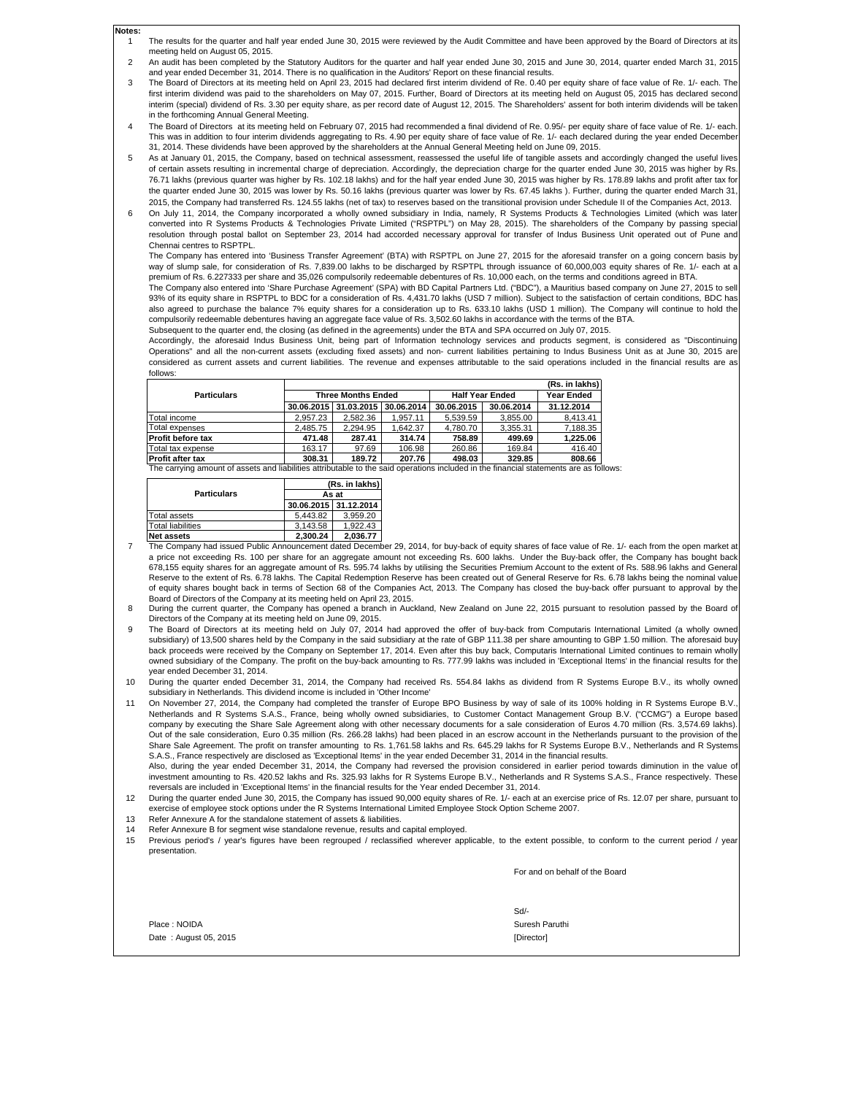- 1 The results for the quarter and half year ended June 30, 2015 were reviewed by the Audit Committee and have been approved by the Board of Directors at its meeting held on August 05, 2015.
- 2 An audit has been completed by the Statutory Auditors for the quarter and half year ended June 30, 2015 and June 30, 2014, quarter ended March 31, 2015 and year ended December 31, 2014. There is no qualification in the Auditors' Report on these financial results.
- 3 The Board of Directors at its meeting held on April 23, 2015 had declared first interim dividend of Re. 0.40 per equity share of face value of Re. 1/- each. The first interim dividend was paid to the shareholders on May 07, 2015. Further, Board of Directors at its meeting held on August 05, 2015 has declared second interim (special) dividend of Rs. 3.30 per equity share, as per record date of August 12, 2015. The Shareholders' assent for both interim dividends will be taken in the forthcoming Annual General Meeting.
- 4 The Board of Directors at its meeting held on February 07, 2015 had recommended a final dividend of Re. 0.95/- per equity share of face value of Re. 1/- each. This was in addition to four interim dividends aggregating to Rs. 4.90 per equity share of face value of Re. 1/- each declared during the year ended Decembe 31, 2014. These dividends have been approved by the shareholders at the Annual General Meeting held on June 09, 2015.
- 5 As at January 01, 2015, the Company, based on technical assessment, reassessed the useful life of tangible assets and accordingly changed the useful lives of certain assets resulting in incremental charge of depreciation. Accordingly, the depreciation charge for the quarter ended June 30, 2015 was higher by Rs. 76.71 lakhs (previous quarter was higher by Rs. 102.18 lakhs) and for the half year ended June 30, 2015 was higher by Rs. 178.89 lakhs and profit after tax for the quarter ended June 30, 2015 was lower by Rs. 50.16 lakhs (previous quarter was lower by Rs. 67.45 lakhs ). Further, during the quarter ended March 31 2015, the Company had transferred Rs. 124.55 lakhs (net of tax) to reserves based on the transitional provision under Schedule II of the Companies Act, 2013.
- 6 On July 11, 2014, the Company incorporated a wholly owned subsidiary in India, namely, R Systems Products & Technologies Limited (which was later<br>converted into R Systems Products & Technologies Private Limited ("RSPTPL") resolution through postal ballot on September 23, 2014 had accorded necessary approval for transfer of Indus Business Unit operated out of Pune and Chennai centres to RSPTPL.

The Company has entered into 'Business Transfer Agreement' (BTA) with RSPTPL on June 27, 2015 for the aforesaid transfer on a going concern basis by way of slump sale, for consideration of Rs. 7,839.00 lakhs to be discharged by RSPTPL through issuance of 60,000,003 equity shares of Re. 1/- each at a premium of Rs. 6.227333 per share and 35,026 compulsorily redeemable debentures of Rs. 10,000 each, on the terms and conditions agreed in BTA.

The Company also entered into 'Share Purchase Agreement' (SPA) with BD Capital Partners Ltd. ("BDC"), a Mauritius based company on June 27, 2015 to sell 93% of its equity share in RSPTPL to BDC for a consideration of Rs. 4,431.70 lakhs (USD 7 million). Subject to the satisfaction of certain conditions, BDC has also agreed to purchase the balance 7% equity shares for a consideration up to Rs. 633.10 lakhs (USD 1 million). The Company will continue to hold the compulsorily redeemable debentures having an aggregate face value of Rs. 3,502.60 lakhs in accordance with the terms of the BTA.

Subsequent to the quarter end, the closing (as defined in the agreements) under the BTA and SPA occurred on July 07, 2015.

Accordingly, the aforesaid Indus Business Unit, being part of Information technology services and products segment, is considered as "Discontinuing Operations" and all the non-current assets (excluding fixed assets) and non- current liabilities pertaining to Indus Business Unit as at June 30, 2015 are considered as current assets and current liabilities. The revenue and expenses attributable to the said operations included in the financial results are as follows:

|                         |                           |                                  |          |                        |                   | (Rs. in lakhs) |
|-------------------------|---------------------------|----------------------------------|----------|------------------------|-------------------|----------------|
| <b>Particulars</b>      | <b>Three Months Ended</b> |                                  |          | <b>Half Year Ended</b> | <b>Year Ended</b> |                |
|                         |                           | 30.06.2015 31.03.2015 30.06.2014 |          | 30.06.2015             | 30.06.2014        | 31.12.2014     |
| Total income            | 2.957.23                  | 2.582.36                         | 1.957.11 | 5.539.59               | 3.855.00          | 8.413.41       |
| Total expenses          | 2.485.75                  | 2.294.95                         | 1.642.37 | 4.780.70               | 3.355.31          | 7.188.35       |
| Profit before tax       | 471.48                    | 287.41                           | 314.74   | 758.89                 | 499.69            | 1.225.06       |
| Total tax expense       | 163.17                    | 97.69                            | 106.98   | 260.86                 | 169.84            | 416.40         |
| <b>Profit after tax</b> | 308.31                    | 189.72                           | 207.76   | 498.03                 | 329.85            | 808.66         |

The carrying amount of assets and liabilities attributable to the said operations included in the financial statements are as follows:

|                          | (Rs. in lakhs) |                       |  |  |
|--------------------------|----------------|-----------------------|--|--|
| <b>Particulars</b>       | As at          |                       |  |  |
|                          |                | 30.06.2015 31.12.2014 |  |  |
| <b>Total assets</b>      | 5.443.82       | 3.959.20              |  |  |
| <b>Total liabilities</b> | 3.143.58       | 1.922.43              |  |  |
| <b>Net assets</b>        | 2.300.24       | 2.036.77              |  |  |

**Notes:**

- 7 The Company had issued Public Announcement dated December 29, 2014, for buy-back of equity shares of face value of Re. 1/- each from the open market a a price not exceeding Rs. 100 per share for an aggregate amount not exceeding Rs. 600 lakhs. Under the Buy-back offer, the Company has bought back 678,155 equity shares for an aggregate amount of Rs. 595.74 lakhs by utilising the Securities Premium Account to the extent of Rs. 588.96 lakhs and Genera Reserve to the extent of Rs. 6.78 lakhs. The Capital Redemption Reserve has been created out of General Reserve for Rs. 6.78 lakhs being the nominal value of equity shares bought back in terms of Section 68 of the Companies Act, 2013. The Company has closed the buy-back offer pursuant to approval by the Board of Directors of the Company at its meeting held on April 23, 2015.
- 8 During the current quarter, the Company has opened a branch in Auckland, New Zealand on June 22, 2015 pursuant to resolution passed by the Board of Directors of the Company at its meeting held on June 09, 2015.
- 9 The Board of Directors at its meeting held on July 07, 2014 had approved the offer of buy-back from Computaris International Limited (a wholly owned subsidiary) of 13,500 shares held by the Company in the said subsidiary at the rate of GBP 111.38 per share amounting to GBP 1.50 million. The aforesaid buyback proceeds were received by the Company on September 17, 2014. Even after this buy back, Computaris International Limited continues to remain wholly owned subsidiary of the Company. The profit on the buy-back amounting to Rs. 777.99 lakhs was included in 'Exceptional Items' in the financial results for the year ended December 31, 2014.
- 10 During the quarter ended December 31, 2014, the Company had received Rs. 554.84 lakhs as dividend from R Systems Europe B.V., its wholly owned subsidiary in Netherlands. This dividend income is included in 'Other Income'

11 On November 27, 2014, the Company had completed the transfer of Europe BPO Business by way of sale of its 100% holding in R Systems Europe B.V., Netherlands and R Systems S.A.S., France, being wholly owned subsidiaries, to Customer Contact Management Group B.V. ("CCMG") a Europe based company by executing the Share Sale Agreement along with other necessary documents for a sale consideration of Euros 4.70 million (Rs. 3,574.69 lakhs). Out of the sale consideration, Euro 0.35 million (Rs. 266.28 lakhs) had been placed in an escrow account in the Netherlands pursuant to the provision of the Share Sale Agreement. The profit on transfer amounting to Rs. 1,761.58 lakhs and Rs. 645.29 lakhs for R Systems Europe B.V., Netherlands and R Systems S.A.S., France respectively are disclosed as 'Exceptional Items' in the year ended December 31, 2014 in the financial results. Also, during the year ended December 31, 2014, the Company had reversed the provision considered in earlier period towards diminution in the value o

investment amounting to Rs. 420.52 lakhs and Rs. 325.93 lakhs for R Systems Europe B.V., Netherlands and R Systems S.A.S., France respectively. These reversals are included in 'Exceptional Items' in the financial results for the Year ended December 31, 2014.

12 During the quarter ended June 30, 2015, the Company has issued 90,000 equity shares of Re. 1/- each at an exercise price of Rs. 12.07 per share, pursuant to exercise of employee stock options under the R Systems International Limited Employee Stock Option Scheme 2007.

- 13 Refer Annexure A for the standalone statement of assets & liabilities.
- 14 Refer Annexure B for segment wise standalone revenue, results and capital employed.
- 15 Previous period's / year's figures have been regrouped / reclassified wherever applicable, to the extent possible, to conform to the current period / year presentation.

For and on behalf of the Board

|                       | Sd                |
|-----------------------|-------------------|
| Place: NOIDA          | Suresh Paruthi    |
| Date: August 05, 2015 | <b>IDirectorl</b> |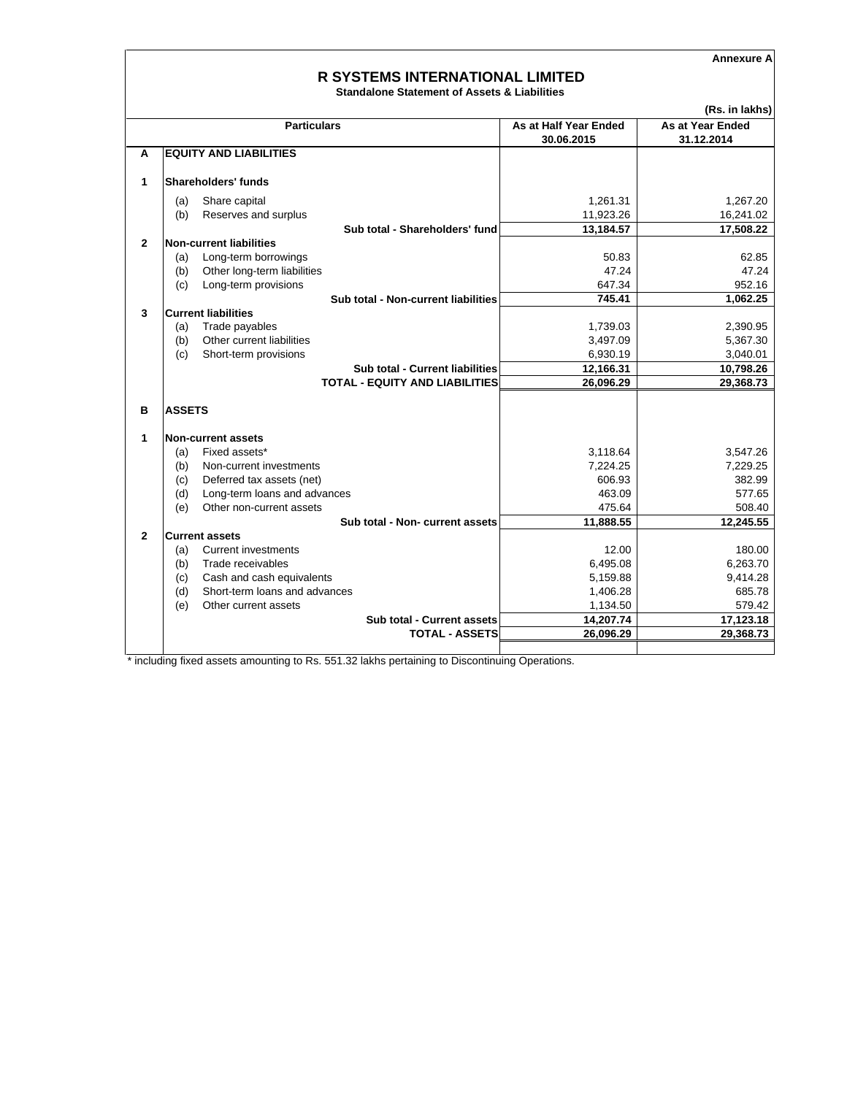**Annexure A**

## **R SYSTEMS INTERNATIONAL LIMITED**

**Standalone Statement of Assets & Liabilities**

|              |                                                     |                       | (Rs. in lakhs)        |
|--------------|-----------------------------------------------------|-----------------------|-----------------------|
|              | <b>Particulars</b>                                  | As at Half Year Ended | As at Year Ended      |
|              |                                                     | 30.06.2015            | 31.12.2014            |
| A            | <b>EQUITY AND LIABILITIES</b>                       |                       |                       |
| 1            | Shareholders' funds                                 |                       |                       |
|              |                                                     |                       |                       |
|              | Share capital<br>(a)<br>Reserves and surplus<br>(b) | 1.261.31<br>11,923.26 | 1.267.20<br>16,241.02 |
|              | Sub total - Shareholders' fund                      |                       |                       |
| $\mathbf{2}$ | Non-current liabilities                             | 13,184.57             | 17,508.22             |
|              | Long-term borrowings<br>(a)                         | 50.83                 | 62.85                 |
|              | Other long-term liabilities<br>(b)                  | 47.24                 | 47.24                 |
|              | Long-term provisions<br>(c)                         | 647.34                | 952.16                |
|              | Sub total - Non-current liabilities                 | 745.41                | 1,062.25              |
| 3            | <b>Current liabilities</b>                          |                       |                       |
|              | Trade payables<br>(a)                               | 1,739.03              | 2,390.95              |
|              | Other current liabilities<br>(b)                    | 3,497.09              | 5,367.30              |
|              | (c)<br>Short-term provisions                        | 6,930.19              | 3,040.01              |
|              | Sub total - Current liabilities                     | 12,166.31             | 10,798.26             |
|              | <b>TOTAL - EQUITY AND LIABILITIES</b>               | 26,096.29             | 29,368.73             |
|              |                                                     |                       |                       |
| в            | <b>ASSETS</b>                                       |                       |                       |
|              |                                                     |                       |                       |
| 1            | <b>Non-current assets</b>                           |                       |                       |
|              | Fixed assets*<br>(a)                                | 3,118.64              | 3,547.26              |
|              | Non-current investments<br>(b)                      | 7,224.25              | 7,229.25              |
|              | (c)<br>Deferred tax assets (net)                    | 606.93                | 382.99                |
|              | (d)<br>Long-term loans and advances                 | 463.09                | 577.65                |
|              | (e)<br>Other non-current assets                     | 475.64                | 508.40                |
|              | Sub total - Non- current assets                     | 11,888.55             | 12,245.55             |
| $\mathbf{2}$ | <b>Current assets</b>                               |                       |                       |
|              | <b>Current investments</b><br>(a)                   | 12.00                 | 180.00                |
|              | Trade receivables<br>(b)                            | 6,495.08              | 6,263.70              |
|              | Cash and cash equivalents<br>(c)                    | 5,159.88              | 9,414.28              |
|              | Short-term loans and advances<br>(d)                | 1,406.28              | 685.78                |
|              | Other current assets<br>(e)                         | 1,134.50              | 579.42                |
|              | Sub total - Current assets                          | 14,207.74             | 17,123.18             |
|              | <b>TOTAL - ASSETS</b>                               | 26,096.29             | 29,368.73             |
|              |                                                     |                       |                       |

\* including fixed assets amounting to Rs. 551.32 lakhs pertaining to Discontinuing Operations.